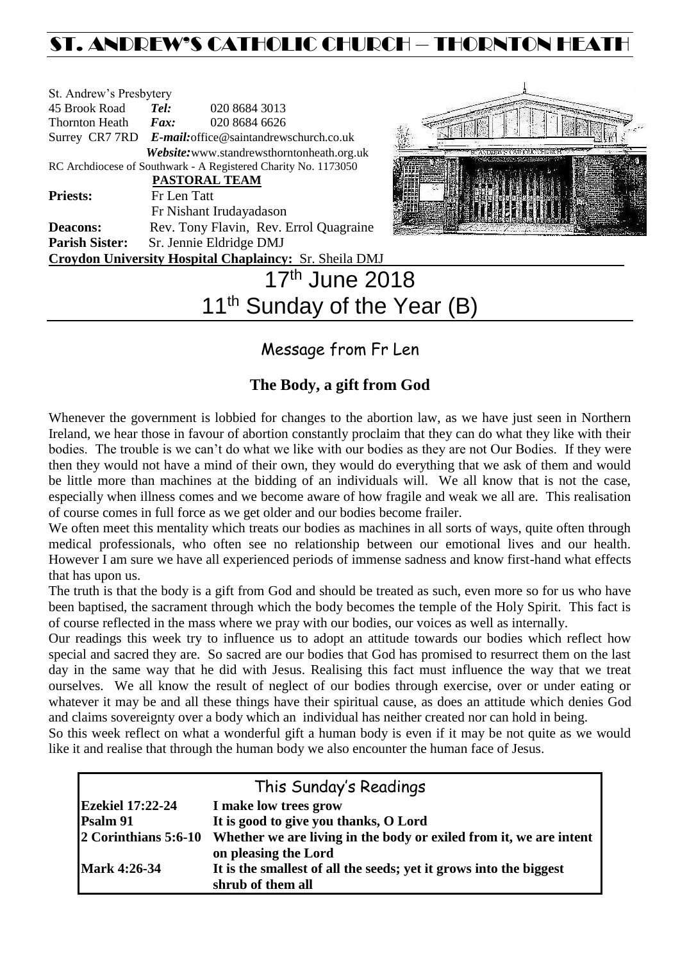# ST. ANDREW'S CATHOLIC CHURCH – THORNTON HEATH

| St. Andrew's Presbytery |                              |                                                                |                                                                                           |
|-------------------------|------------------------------|----------------------------------------------------------------|-------------------------------------------------------------------------------------------|
| 45 Brook Road           | Tel:                         | 020 8684 3013                                                  |                                                                                           |
| Thornton Heath          | $\boldsymbol{F}$ <i>ax</i> : | 020 8684 6626                                                  |                                                                                           |
|                         |                              | Surrey CR7 7RD E-mail: office@saintandrewschurch.co.uk         |                                                                                           |
|                         |                              | Website: www.standrewsthorntonheath.org.uk                     |                                                                                           |
|                         |                              | RC Archdiocese of Southwark - A Registered Charity No. 1173050 |                                                                                           |
|                         |                              | <b>PASTORAL TEAM</b>                                           |                                                                                           |
| <b>Priests:</b>         | Fr Len Tatt                  |                                                                |                                                                                           |
|                         |                              | Fr Nishant Irudayadason                                        |                                                                                           |
| <b>Deacons:</b>         |                              | Rev. Tony Flavin, Rev. Errol Quagraine                         |                                                                                           |
| <b>Parish Sister:</b>   |                              | Sr. Jennie Eldridge DMJ                                        |                                                                                           |
|                         |                              | Croydon University Hospital Chaplaincy: Sr. Sheila DMJ         |                                                                                           |
|                         |                              | ⊿ ラth                                                          | $\mathsf{L} \mathsf{L} \mathsf{L} \mathsf{L} \mathsf{L} \mathsf{L} \mathsf{L} \mathsf{L}$ |



# 17<sup>th</sup> June 2018 11<sup>th</sup> Sunday of the Year (B)

# Message from Fr Len

## **The Body, a gift from God**

Whenever the government is lobbied for changes to the abortion law, as we have just seen in Northern Ireland, we hear those in favour of abortion constantly proclaim that they can do what they like with their bodies. The trouble is we can't do what we like with our bodies as they are not Our Bodies. If they were then they would not have a mind of their own, they would do everything that we ask of them and would be little more than machines at the bidding of an individuals will. We all know that is not the case, especially when illness comes and we become aware of how fragile and weak we all are. This realisation of course comes in full force as we get older and our bodies become frailer.

We often meet this mentality which treats our bodies as machines in all sorts of ways, quite often through medical professionals, who often see no relationship between our emotional lives and our health. However I am sure we have all experienced periods of immense sadness and know first-hand what effects that has upon us.

The truth is that the body is a gift from God and should be treated as such, even more so for us who have been baptised, the sacrament through which the body becomes the temple of the Holy Spirit. This fact is of course reflected in the mass where we pray with our bodies, our voices as well as internally.

Our readings this week try to influence us to adopt an attitude towards our bodies which reflect how special and sacred they are. So sacred are our bodies that God has promised to resurrect them on the last day in the same way that he did with Jesus. Realising this fact must influence the way that we treat ourselves. We all know the result of neglect of our bodies through exercise, over or under eating or whatever it may be and all these things have their spiritual cause, as does an attitude which denies God and claims sovereignty over a body which an individual has neither created nor can hold in being.

So this week reflect on what a wonderful gift a human body is even if it may be not quite as we would like it and realise that through the human body we also encounter the human face of Jesus.

| This Sunday's Readings  |                                                                                            |  |  |  |  |
|-------------------------|--------------------------------------------------------------------------------------------|--|--|--|--|
| <b>Ezekiel 17:22-24</b> | I make low trees grow                                                                      |  |  |  |  |
| Psalm 91                | It is good to give you thanks, O Lord                                                      |  |  |  |  |
| 2 Corinthians 5:6-10    | Whether we are living in the body or exiled from it, we are intent<br>on pleasing the Lord |  |  |  |  |
| <b>Mark 4:26-34</b>     | It is the smallest of all the seeds; yet it grows into the biggest<br>shrub of them all    |  |  |  |  |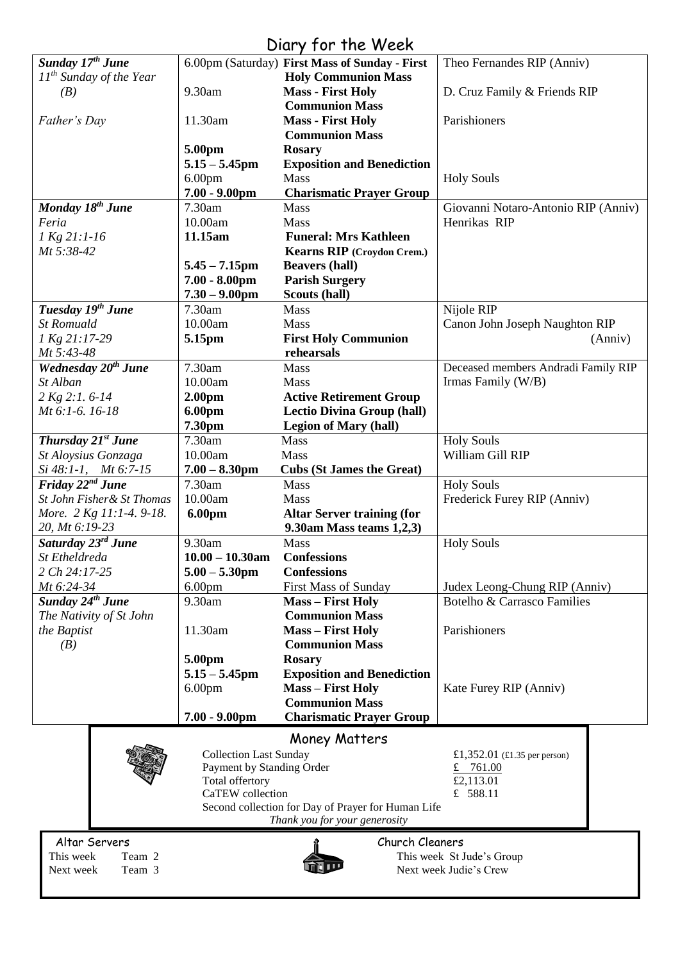# Diary for the Week

|                                            |                                              | <b>UNITY IVI INC WEEK</b>                          |                                                     |
|--------------------------------------------|----------------------------------------------|----------------------------------------------------|-----------------------------------------------------|
| Sunday 17 <sup>th</sup> June               |                                              | 6.00pm (Saturday) First Mass of Sunday - First     | Theo Fernandes RIP (Anniv)                          |
| $11^{th}$ Sunday of the Year               |                                              | <b>Holy Communion Mass</b>                         |                                                     |
| (B)                                        | 9.30am                                       | <b>Mass - First Holy</b>                           | D. Cruz Family & Friends RIP                        |
|                                            |                                              | <b>Communion Mass</b>                              |                                                     |
| Father's Day                               | 11.30am                                      | <b>Mass - First Holy</b>                           | Parishioners                                        |
|                                            |                                              | <b>Communion Mass</b>                              |                                                     |
|                                            | 5.00pm                                       | <b>Rosary</b>                                      |                                                     |
|                                            | $5.15 - 5.45$ pm                             | <b>Exposition and Benediction</b>                  |                                                     |
|                                            | 6.00 <sub>pm</sub>                           | <b>Mass</b>                                        | <b>Holy Souls</b>                                   |
|                                            | $7.00 - 9.00$ pm                             | <b>Charismatic Prayer Group</b>                    |                                                     |
| Monday 18 <sup>th</sup> June               | 7.30am                                       | Mass                                               | Giovanni Notaro-Antonio RIP (Anniv)                 |
| Feria                                      | 10.00am                                      | Mass                                               | Henrikas RIP                                        |
| 1 Kg 21:1-16                               | 11.15am                                      | <b>Funeral: Mrs Kathleen</b>                       |                                                     |
| Mt 5:38-42                                 |                                              | Kearns RIP (Croydon Crem.)                         |                                                     |
|                                            | $5.45 - 7.15$ pm                             | <b>Beavers (hall)</b>                              |                                                     |
|                                            | $7.00 - 8.00$ pm                             | <b>Parish Surgery</b>                              |                                                     |
|                                            | $7.30 - 9.00$ pm                             | Scouts (hall)                                      |                                                     |
| Tuesday 19 <sup>th</sup> June              | 7.30am                                       | <b>Mass</b>                                        | Nijole RIP                                          |
| <b>St Romuald</b>                          | 10.00am                                      | Mass                                               | Canon John Joseph Naughton RIP                      |
| 1 Kg 21:17-29                              | 5.15pm                                       | <b>First Holy Communion</b>                        | (Anniv)                                             |
| Mt 5:43-48                                 |                                              | rehearsals                                         |                                                     |
| Wednesday 20 <sup>th</sup> June            | 7.30am                                       | Mass                                               | Deceased members Andradi Family RIP                 |
| St Alban                                   | 10.00am                                      | Mass                                               | Irmas Family (W/B)                                  |
| 2 Kg 2:1.6-14                              | 2.00 <sub>pm</sub>                           | <b>Active Retirement Group</b>                     |                                                     |
| Mt 6:1-6. 16-18                            | 6.00pm                                       | <b>Lectio Divina Group (hall)</b>                  |                                                     |
|                                            | 7.30pm                                       | <b>Legion of Mary (hall)</b>                       |                                                     |
| Thursday 21 <sup>st</sup> June             | 7.30am                                       | Mass                                               | <b>Holy Souls</b>                                   |
| St Aloysius Gonzaga                        | 10.00am                                      | Mass                                               | William Gill RIP                                    |
| Si 48:1-1, Mt 6:7-15                       | $7.00 - 8.30$ pm                             | <b>Cubs (St James the Great)</b>                   |                                                     |
| Friday 22 <sup>nd</sup> June               | 7.30am                                       | Mass                                               | <b>Holy Souls</b>                                   |
| St John Fisher& St Thomas                  | 10.00am                                      | Mass                                               | Frederick Furey RIP (Anniv)                         |
| More. 2 Kg 11:1-4. 9-18.<br>20, Mt 6:19-23 | 6.00pm                                       | <b>Altar Server training (for</b>                  |                                                     |
| Saturday 23 <sup>rd</sup> June             | 9.30am                                       | 9.30am Mass teams 1,2,3)<br>Mass                   |                                                     |
| St Etheldreda                              | $10.00 - 10.30$ am                           | <b>Confessions</b>                                 | <b>Holy Souls</b>                                   |
| 2 Ch 24:17-25                              | $5.00 - 5.30$ pm                             | <b>Confessions</b>                                 |                                                     |
| Mt 6:24-34                                 | 6.00 <sub>pm</sub>                           | <b>First Mass of Sunday</b>                        | Judex Leong-Chung RIP (Anniv)                       |
| Sunday 24 <sup>th</sup> June               | 9.30am                                       | <b>Mass - First Holy</b>                           | Botelho & Carrasco Families                         |
| The Nativity of St John                    |                                              | <b>Communion Mass</b>                              |                                                     |
| the Baptist                                | 11.30am                                      | <b>Mass - First Holy</b>                           | Parishioners                                        |
| (B)                                        |                                              | <b>Communion Mass</b>                              |                                                     |
|                                            | 5.00pm                                       | <b>Rosary</b>                                      |                                                     |
|                                            | $5.15 - 5.45$ pm                             | <b>Exposition and Benediction</b>                  |                                                     |
|                                            | 6.00 <sub>pm</sub>                           | <b>Mass - First Holy</b>                           | Kate Furey RIP (Anniv)                              |
|                                            |                                              | <b>Communion Mass</b>                              |                                                     |
|                                            | $7.00 - 9.00$ pm                             | <b>Charismatic Prayer Group</b>                    |                                                     |
|                                            |                                              |                                                    |                                                     |
|                                            |                                              | Money Matters                                      |                                                     |
|                                            | <b>Collection Last Sunday</b>                |                                                    | £1,352.01 (£1.35 per person)                        |
|                                            | Payment by Standing Order<br>Total offertory |                                                    | £ 761.00<br>£2,113.01                               |
|                                            | CaTEW collection                             |                                                    | £ 588.11                                            |
|                                            |                                              | Second collection for Day of Prayer for Human Life |                                                     |
|                                            |                                              | Thank you for your generosity                      |                                                     |
|                                            |                                              |                                                    |                                                     |
|                                            |                                              |                                                    |                                                     |
| Altar Servers                              |                                              | Church Cleaners                                    |                                                     |
| This week<br>Team 2<br>Team 3<br>Next week |                                              |                                                    | This week St Jude's Group<br>Next week Judie's Crew |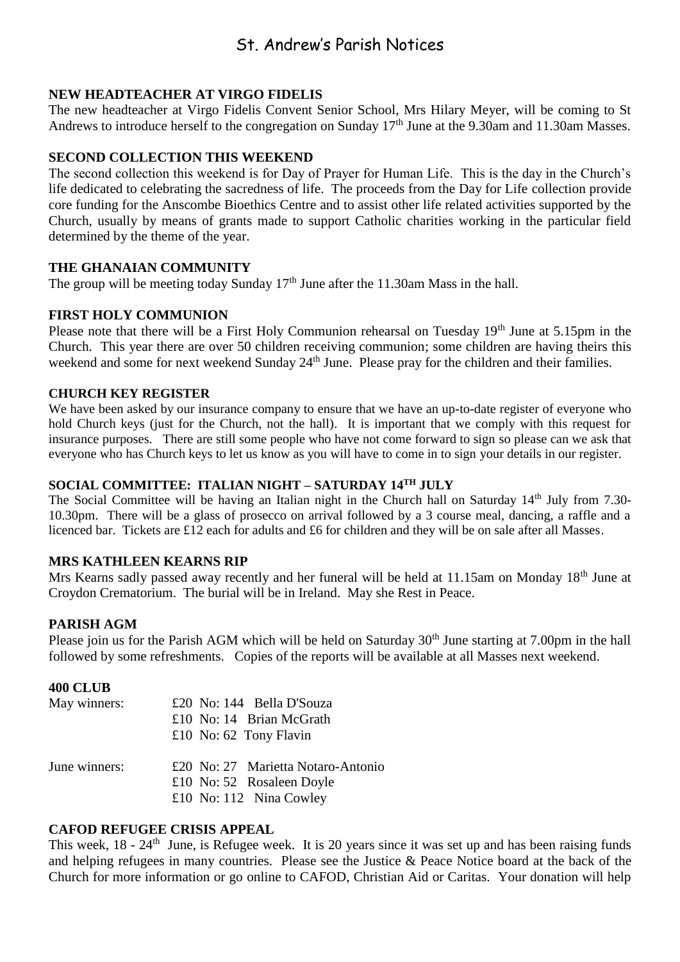## St. Andrew's Parish Notices

#### **NEW HEADTEACHER AT VIRGO FIDELIS**

The new headteacher at Virgo Fidelis Convent Senior School, Mrs Hilary Meyer, will be coming to St Andrews to introduce herself to the congregation on Sunday 17<sup>th</sup> June at the 9.30am and 11.30am Masses.

#### **SECOND COLLECTION THIS WEEKEND**

The second collection this weekend is for Day of Prayer for Human Life. This is the day in the Church's life dedicated to celebrating the sacredness of life. The proceeds from the Day for Life collection provide core funding for the Anscombe Bioethics Centre and to assist other life related activities supported by the Church, usually by means of grants made to support Catholic charities working in the particular field determined by the theme of the year.

#### **THE GHANAIAN COMMUNITY**

The group will be meeting today Sunday 17<sup>th</sup> June after the 11.30am Mass in the hall.

#### **FIRST HOLY COMMUNION**

Please note that there will be a First Holy Communion rehearsal on Tuesday 19<sup>th</sup> June at 5.15pm in the Church. This year there are over 50 children receiving communion; some children are having theirs this weekend and some for next weekend Sunday 24<sup>th</sup> June. Please pray for the children and their families.

#### **CHURCH KEY REGISTER**

We have been asked by our insurance company to ensure that we have an up-to-date register of everyone who hold Church keys (just for the Church, not the hall). It is important that we comply with this request for insurance purposes. There are still some people who have not come forward to sign so please can we ask that everyone who has Church keys to let us know as you will have to come in to sign your details in our register.

#### **SOCIAL COMMITTEE: ITALIAN NIGHT – SATURDAY 14TH JULY**

The Social Committee will be having an Italian night in the Church hall on Saturday 14<sup>th</sup> July from 7.30-10.30pm. There will be a glass of prosecco on arrival followed by a 3 course meal, dancing, a raffle and a licenced bar. Tickets are £12 each for adults and £6 for children and they will be on sale after all Masses.

#### **MRS KATHLEEN KEARNS RIP**

Mrs Kearns sadly passed away recently and her funeral will be held at 11.15am on Monday 18<sup>th</sup> June at Croydon Crematorium. The burial will be in Ireland. May she Rest in Peace.

#### **PARISH AGM**

Please join us for the Parish AGM which will be held on Saturday 30<sup>th</sup> June starting at 7.00pm in the hall followed by some refreshments. Copies of the reports will be available at all Masses next weekend.

#### **400 CLUB**

| May winners:  | £20 No: 144 Bella D'Souza          |
|---------------|------------------------------------|
|               | £10 No: 14 Brian McGrath           |
|               | £10 No: $62$ Tony Flavin           |
| June winners: | £20 No: 27 Marietta Notaro-Antonio |
|               | £10 No: 52 Rosaleen Doyle          |
|               | £10 No: 112 Nina Cowley            |

#### **CAFOD REFUGEE CRISIS APPEAL**

This week, 18 - 24<sup>th</sup> June, is Refugee week. It is 20 years since it was set up and has been raising funds and helping refugees in many countries. Please see the Justice & Peace Notice board at the back of the Church for more information or go online to CAFOD, Christian Aid or Caritas. Your donation will help